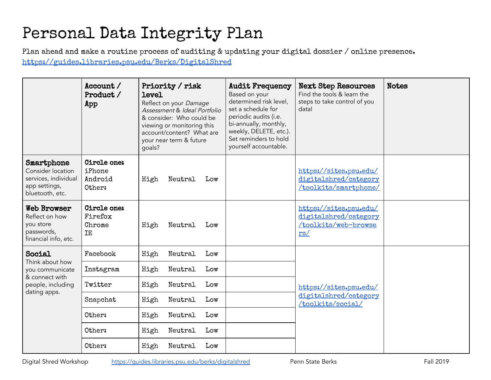## Personal Data Integrity Plan

Plan ahead and make a routine process of auditing & updating your digital dossier / online presence. <https://guides.libraries.psu.edu/Berks/DigitalShred>

|                                                                                                     | Account /<br>Product /<br>App                     | Priority / risk<br><b>level</b><br>Reflect on your Damage<br>Assessment & Ideal Portfolio<br>& consider: Who could be<br>viewing or monitoring this<br>account/content? What are<br>your near term & future<br>qoals? | <b>Audit Frequency</b><br>Based on your<br>determined risk level,<br>set a schedule for<br>periodic audits (i.e.<br>bi-annually, monthly,<br>weekly, DELETE, etc.).<br>Set reminders to hold<br>yourself accountable. | <b>Next Step Resources</b><br>Find the tools & learn the<br>steps to take control of you<br>data! | <b>Notes</b> |
|-----------------------------------------------------------------------------------------------------|---------------------------------------------------|-----------------------------------------------------------------------------------------------------------------------------------------------------------------------------------------------------------------------|-----------------------------------------------------------------------------------------------------------------------------------------------------------------------------------------------------------------------|---------------------------------------------------------------------------------------------------|--------------|
| Smartphone<br>Consider location<br>services, individual<br>app settings,<br>bluetooth, etc.         | <b>Circle one:</b><br>iPhone<br>Android<br>Other: | High<br>Neutral<br>Low                                                                                                                                                                                                |                                                                                                                                                                                                                       | https://sites.psu.edu/<br>digitalshred/category<br>/toolkits/smartphone/                          |              |
| <b>Web Browser</b><br>Reflect on how<br>you store<br>passwords,<br>financial info, etc.             | Circle one:<br>Firefox<br>Chrome<br>ΙE            | High<br>Neutral<br>Low                                                                                                                                                                                                |                                                                                                                                                                                                                       | https://sites.psu.edu/<br>digitalshred/category<br>/toolkits/web-browse<br>rs/                    |              |
| Social<br>Think about how<br>you communicate<br>& connect with<br>people, including<br>dating apps. | Facebook                                          | High<br>Neutral<br>Low                                                                                                                                                                                                |                                                                                                                                                                                                                       | https://sites.psu.edu/<br>digitalshred/category<br>/toolkits/social/                              |              |
|                                                                                                     | Instagram                                         | Neutral<br>High<br>Low                                                                                                                                                                                                |                                                                                                                                                                                                                       |                                                                                                   |              |
|                                                                                                     | Twitter                                           | Neutral<br>High<br>Low                                                                                                                                                                                                |                                                                                                                                                                                                                       |                                                                                                   |              |
|                                                                                                     | Snapchat                                          | Neutral<br>High<br>Low                                                                                                                                                                                                |                                                                                                                                                                                                                       |                                                                                                   |              |
|                                                                                                     | Other:                                            | High<br>Neutral<br>Low                                                                                                                                                                                                |                                                                                                                                                                                                                       |                                                                                                   |              |
|                                                                                                     | Other:                                            | High<br>Neutral<br>Low                                                                                                                                                                                                |                                                                                                                                                                                                                       |                                                                                                   |              |
|                                                                                                     | Other:                                            | Neutral<br>High<br>Low                                                                                                                                                                                                |                                                                                                                                                                                                                       |                                                                                                   |              |